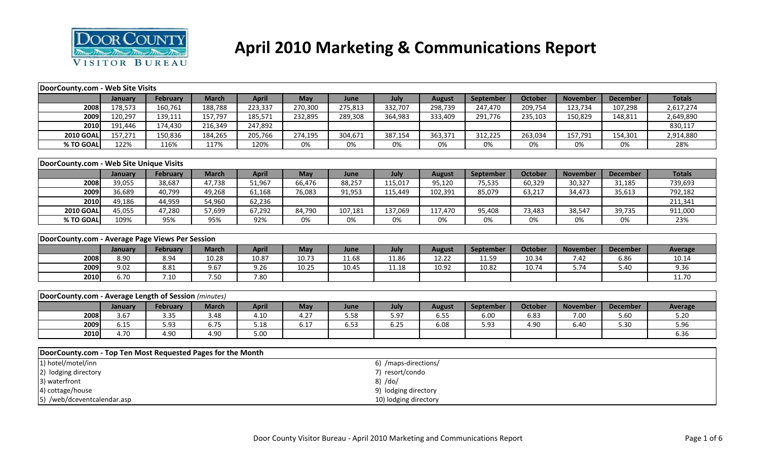

# **April 2010 Marketing & Communications Report**

| DoorCounty.com - Web Site Visits                            |         |                 |              |              |         |         |                       |               |           |                |                 |                 |                |
|-------------------------------------------------------------|---------|-----------------|--------------|--------------|---------|---------|-----------------------|---------------|-----------|----------------|-----------------|-----------------|----------------|
|                                                             | January | February        | <b>March</b> | <b>April</b> | May     | June    | July                  | <b>August</b> | September | October        | <b>November</b> | <b>December</b> | <b>Totals</b>  |
| 2008                                                        | 178,573 | 160,761         | 188,788      | 223,337      | 270,300 | 275,813 | 332,707               | 298,739       | 247,470   | 209,754        | 123,734         | 107,298         | 2,617,274      |
| 2009                                                        | 120,297 | 139,111         | 157,797      | 185,571      | 232,895 | 289,308 | 364,983               | 333,409       | 291,776   | 235,103        | 150,829         | 148,811         | 2,649,890      |
| 2010                                                        | 191,446 | 174,430         | 216,349      | 247,892      |         |         |                       |               |           |                |                 |                 | 830,117        |
| <b>2010 GOAL</b>                                            | 157,271 | 150,836         | 184,265      | 205,766      | 274,195 | 304,671 | 387,154               | 363,371       | 312,225   | 263,034        | 157,791         | 154,301         | 2,914,880      |
| % TO GOAL                                                   | 122%    | 116%            | 117%         | 120%         | 0%      | 0%      | 0%                    | 0%            | 0%        | 0%             | 0%              | 0%              | 28%            |
|                                                             |         |                 |              |              |         |         |                       |               |           |                |                 |                 |                |
| DoorCounty.com - Web Site Unique Visits                     |         |                 |              |              |         |         |                       |               |           |                |                 |                 |                |
|                                                             | January | <b>February</b> | <b>March</b> | <b>April</b> | May     | June    | July                  | <b>August</b> | September | <b>October</b> | <b>November</b> | <b>December</b> | <b>Totals</b>  |
| 2008                                                        | 39,055  | 38,687          | 47,738       | 51,967       | 66,476  | 88,257  | 115,017               | 95,120        | 75,535    | 60,329         | 30,327          | 31,185          | 739,693        |
| 2009                                                        | 36,689  | 40,799          | 49,268       | 61,168       | 76,083  | 91,953  | 115,449               | 102,391       | 85,079    | 63,217         | 34,473          | 35,613          | 792,182        |
| 2010                                                        | 49,186  | 44,959          | 54,960       | 62,236       |         |         |                       |               |           |                |                 |                 | 211,341        |
| <b>2010 GOAL</b>                                            | 45,055  | 47,280          | 57,699       | 67,292       | 84,790  | 107,181 | 137,069               | 117,470       | 95,408    | 73,483         | 38,547          | 39,735          | 911,000        |
| % TO GOAL                                                   | 109%    | 95%             | 95%          | 92%          | 0%      | 0%      | 0%                    | 0%            | 0%        | 0%             | 0%              | 0%              | 23%            |
|                                                             |         |                 |              |              |         |         |                       |               |           |                |                 |                 |                |
| DoorCounty.com - Average Page Views Per Session             |         |                 |              |              |         |         |                       |               |           |                |                 |                 |                |
|                                                             | January | February        | <b>March</b> | <b>April</b> | May     | June    | July                  | <b>August</b> | September | <b>October</b> | <b>November</b> | <b>December</b> | <b>Average</b> |
| 2008                                                        | 8.90    | 8.94            | 10.28        | 10.87        | 10.73   | 11.68   | 11.86                 | 12.22         | 11.59     | 10.34          | 7.42            | 6.86            | 10.14          |
| 2009                                                        | 9.02    | 8.81            | 9.67         | 9.26         | 10.25   | 10.45   | 11.18                 | 10.92         | 10.82     | 10.74          | 5.74            | 5.40            | 9.36           |
| 2010                                                        | 6.70    | 7.10            | 7.50         | 7.80         |         |         |                       |               |           |                |                 |                 | 11.70          |
|                                                             |         |                 |              |              |         |         |                       |               |           |                |                 |                 |                |
| DoorCounty.com - Average Length of Session (minutes)        |         |                 |              |              |         |         |                       |               |           |                |                 |                 |                |
|                                                             | January | <b>February</b> | <b>March</b> | <b>April</b> | May     | June    | July                  | <b>August</b> | September | <b>October</b> | <b>November</b> | <b>December</b> | <b>Average</b> |
| 2008                                                        | 3.67    | 3.35            | 3.48         | 4.10         | 4.27    | 5.58    | 5.97                  | 6.55          | 6.00      | 6.83           | 7.00            | 5.60            | 5.20           |
| 2009                                                        | 6.15    | 5.93            | 6.75         | 5.18         | 6.17    | 6.53    | 6.25                  | 6.08          | 5.93      | 4.90           | 6.40            | 5.30            | 5.96           |
| 2010                                                        | 4.70    | 4.90            | 4.90         | 5.00         |         |         |                       |               |           |                |                 |                 | 6.36           |
|                                                             |         |                 |              |              |         |         |                       |               |           |                |                 |                 |                |
| DoorCounty.com - Top Ten Most Requested Pages for the Month |         |                 |              |              |         |         |                       |               |           |                |                 |                 |                |
| 1) hotel/motel/inn                                          |         |                 |              |              |         |         | 6) /maps-directions/  |               |           |                |                 |                 |                |
| 2) lodging directory                                        |         |                 |              |              |         |         | 7) resort/condo       |               |           |                |                 |                 |                |
| 3) waterfront                                               |         |                 |              |              |         |         | 8) /do/               |               |           |                |                 |                 |                |
| 4) cottage/house                                            |         |                 |              |              |         |         | 9) lodging directory  |               |           |                |                 |                 |                |
| 5) /web/dceventcalendar.asp                                 |         |                 |              |              |         |         | 10) lodging directory |               |           |                |                 |                 |                |
|                                                             |         |                 |              |              |         |         |                       |               |           |                |                 |                 |                |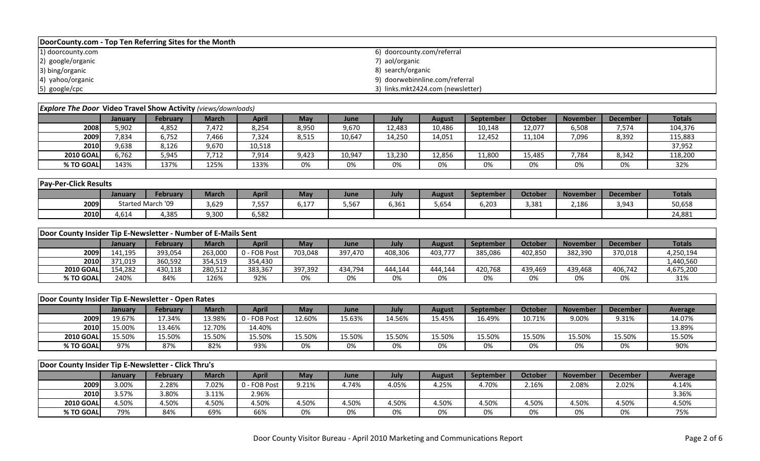| DoorCounty.com - Top Ten Referring Sites for the Month |                                   |  |  |  |  |  |  |  |  |  |
|--------------------------------------------------------|-----------------------------------|--|--|--|--|--|--|--|--|--|
| 1) doorcounty.com                                      | 6) doorcounty.com/referral        |  |  |  |  |  |  |  |  |  |
| 2) google/organic                                      | 7) aol/organic                    |  |  |  |  |  |  |  |  |  |
| 3) bing/organic                                        | 8) search/organic                 |  |  |  |  |  |  |  |  |  |
| 4) yahoo/organic                                       | 9) doorwebinnline.com/referral    |  |  |  |  |  |  |  |  |  |
| 5) google/cpc                                          | 3) links.mkt2424.com (newsletter) |  |  |  |  |  |  |  |  |  |

| <b>Explore The Door Video Travel Show Activity (views/downloads)</b> |         |          |              |        |       |        |        |        |                  |                |                 |                 |               |
|----------------------------------------------------------------------|---------|----------|--------------|--------|-------|--------|--------|--------|------------------|----------------|-----------------|-----------------|---------------|
|                                                                      | Januarv | February | <b>March</b> | April  | May   | June   | July   | August | <b>September</b> | <b>October</b> | <b>November</b> | <b>December</b> | <b>Totals</b> |
| 2008                                                                 | 5,902   | 4,852    | 7.472        | 8,254  | 8,950 | 9,670  | 12,483 | 10,486 | 10,148           | 12,077         | 6,508           | 7,574           | 104,376       |
| 2009                                                                 | 7,834   | 6,752    | 7,466        | 7,324  | 8,515 | 10,647 | 14,250 | 14,051 | 12,452           | 11,104         | 7,096           | 8,392           | 115,883       |
| 2010                                                                 | 9,638   | 8,126    | 9,670        | 10,518 |       |        |        |        |                  |                |                 |                 | 37,952        |
| <b>2010 GOAL</b>                                                     | 6.762   | 5,945    | 7.712        | 7,914  | 9,423 | 10,947 | 13,230 | 12,856 | 11,800           | 15,485         | 7,784           | 8,342           | 118,200       |
| % TO GOAL                                                            | 143%    | 137%     | 125%         | 133%   | 0%    | 0%     | 0%     | 0%     | 0%               | 0%             | 0%              | 0%              | 32%           |

| <b>Pay-Per-Click Results</b> |         |                   |              |       |                  |       |       |        |           |                |                 |                 |               |
|------------------------------|---------|-------------------|--------------|-------|------------------|-------|-------|--------|-----------|----------------|-----------------|-----------------|---------------|
|                              | January | February          | <b>March</b> | April | May              | June  | July  | August | September | <b>October</b> | <b>November</b> | <b>December</b> | <b>Totals</b> |
| 2009                         |         | Started March '09 | 3,629        | 7,557 | $1 - 7$<br>b, 1/ | 5,567 | 6,361 | 5,654  | 6,203     | 3,381          | 2,186           | 3,943           | 50,658        |
| 2010                         | 4,614   | 4,385             | 9,300        | 6,582 |                  |       |       |        |           |                |                 |                 | 24,881        |

| Door County Insider Tip E-Newsletter - Number of E-Mails Sent |         |                 |         |              |         |         |         |         |                  |         |                 |                 |               |
|---------------------------------------------------------------|---------|-----------------|---------|--------------|---------|---------|---------|---------|------------------|---------|-----------------|-----------------|---------------|
|                                                               | Januarv | <b>February</b> | March   | April        | May     | June    | July    | August  | <b>September</b> | October | <b>November</b> | <b>December</b> | <b>Totals</b> |
| 2009                                                          | 141.195 | 393,054         | 263.000 | 0 - FOB Post | 703.048 | 397.470 | 408.306 | 403,777 | 385,086          | 402.850 | 382.390         | 370,018         | 4,250,194     |
| 2010                                                          | 371,019 | 360,592         | 354,519 | 354.430      |         |         |         |         |                  |         |                 |                 | 440,560.      |
| <b>2010 GOAL</b>                                              | 154.282 | 430,118         | 280.512 | 383,367      | 397.392 | 434,794 | 444.144 | 444.144 | 420.768          | 439.469 | 439.468         | 406,742         | 4,675,200     |
| % TO GOAL                                                     | 240%    | 84%             | 126%    | 92%          | 0%      | 0%      | 0%      | 0%      | 0%               | 0%      | 0%              | 0%              | 31%           |

| Door County Insider Tip E-Newsletter - Open Rates |         |                 |        |              |        |        |        |        |                  |                |                 |                 |         |
|---------------------------------------------------|---------|-----------------|--------|--------------|--------|--------|--------|--------|------------------|----------------|-----------------|-----------------|---------|
|                                                   | Januarv | <b>February</b> | March  | April        | May    | June   | July   | August | <b>September</b> | <b>October</b> | <b>November</b> | <b>December</b> | Average |
| 2009                                              | 19.67%  | !7.34%          | 3.98%  | 0 - FOB Post | 12.60% | 15.63% | 14.56% | 15.45% | 16.49%           | 10.71%         | 9.00%           | 9.31%           | 14.07%  |
| 2010                                              | 15.00%  | L3.46%          | 2.70%، | .4.40%       |        |        |        |        |                  |                |                 |                 | 13.89%  |
| <b>2010 GOAL</b>                                  | 15.50%  | 15.50%          | 15.50% | 15.50%       | 15.50% | 15.50% | 15.50% | 15.50% | 15.50%           | 15.50%         | 15.50%          | 15.50%          | 15.50%  |
| % TO GOAL                                         | 97%     | 87%             | 82%    | 93%          | 0%     | 0%     | 0%     | 0%     | 0%               | 0%             | 0%              | 0%              | 90%     |

|                  | Door County Insider Tip E-Newsletter - Click Thru's |          |       |              |       |       |       |               |           |         |                 |                 |         |
|------------------|-----------------------------------------------------|----------|-------|--------------|-------|-------|-------|---------------|-----------|---------|-----------------|-----------------|---------|
|                  | January                                             | February | March | <b>April</b> | May   | June  | July  | <b>August</b> | September | October | <b>November</b> | <b>December</b> | Average |
| 2009             | 3.00%                                               | 2.28%    | 7.02% | 0 - FOB Post | 9.21% | 4.74% | 4.05% | 4.25%         | 4.70%     | 2.16%   | 2.08%           | 2.02%           | 4.14%   |
| 2010             | 3.57%                                               | 3.80%    | 3.11% | 2.96%        |       |       |       |               |           |         |                 |                 | 3.36%   |
| <b>2010 GOAL</b> | 4.50%                                               | 4.50%    | 4.50% | 4.50%        | 4.50% | 4.50% | 4.50% | 4.50%         | 4.50%     | 4.50%   | 4.50%           | 4.50%           | 4.50%   |
| % TO GOAL        | 79%                                                 | 84%      | 69%   | 66%          | 0%    | 0%    | 0%    | 0%            | 0%        | 0%      | 0%              | 0%              | 75%     |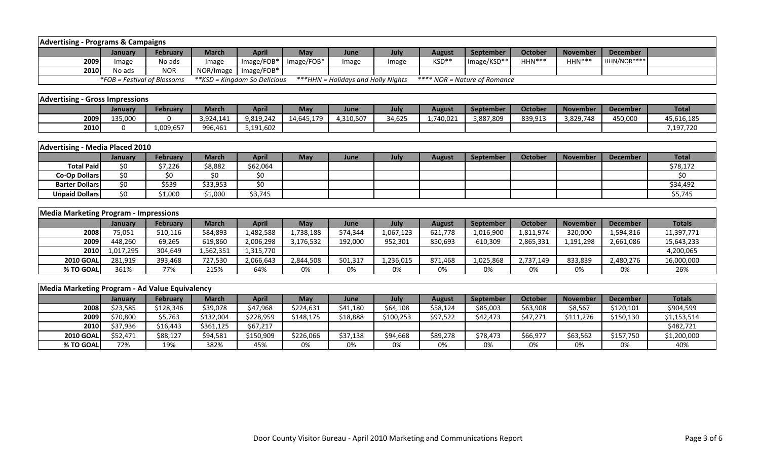| <b>Advertising - Programs &amp; Campaigns</b>  |                             |                 |              |                               |            |                                    |           |               |                              |                |                 |                 |               |
|------------------------------------------------|-----------------------------|-----------------|--------------|-------------------------------|------------|------------------------------------|-----------|---------------|------------------------------|----------------|-----------------|-----------------|---------------|
|                                                | January                     | <b>February</b> | <b>March</b> | <b>April</b>                  | May        | June                               | July      | <b>August</b> | September                    | <b>October</b> | <b>November</b> | <b>December</b> |               |
| 2009                                           | Image                       | No ads          | Image        | Image/FOB*                    | Image/FOB* | Image                              | Image     | KSD**         | Image/KSD**                  | HHN***         | HHN***          | HHN/NOR****     |               |
| 2010                                           | No ads                      | <b>NOR</b>      | NOR/Image    | Image/FOB*                    |            |                                    |           |               |                              |                |                 |                 |               |
|                                                | *FOB = Festival of Blossoms |                 |              | ** KSD = Kingdom So Delicious |            | ***HHN = Holidays and Holly Nights |           |               | **** NOR = Nature of Romance |                |                 |                 |               |
|                                                |                             |                 |              |                               |            |                                    |           |               |                              |                |                 |                 |               |
| <b>Advertising - Gross Impressions</b>         |                             |                 |              |                               |            |                                    |           |               |                              |                |                 |                 |               |
|                                                | January                     | <b>February</b> | <b>March</b> | <b>April</b>                  | May        | June                               | July      | <b>August</b> | September                    | <b>October</b> | <b>November</b> | <b>December</b> | <b>Total</b>  |
| 2009                                           | 135,000                     | $\Omega$        | 3,924,141    | 9,819,242                     | 14,645,179 | 4,310,507                          | 34,625    | 1,740,021     | 5,887,809                    | 839,913        | 3,829,748       | 450,000         | 45,616,185    |
| 2010                                           | $\Omega$                    | 1,009,657       | 996,461      | 5,191,602                     |            |                                    |           |               |                              |                |                 |                 | 7,197,720     |
|                                                |                             |                 |              |                               |            |                                    |           |               |                              |                |                 |                 |               |
| <b>Advertising - Media Placed 2010</b>         |                             |                 |              |                               |            |                                    |           |               |                              |                |                 |                 |               |
|                                                | January                     | February        | <b>March</b> | <b>April</b>                  | May        | June                               | July      | <b>August</b> | September                    | <b>October</b> | <b>November</b> | <b>December</b> | <b>Total</b>  |
| <b>Total Paid</b>                              | \$0                         | \$7,226         | \$8,882      | \$62,064                      |            |                                    |           |               |                              |                |                 |                 | \$78,172      |
| <b>Co-Op Dollars</b>                           | $\overline{\xi_0}$          | \$0             | \$0          | \$0                           |            |                                    |           |               |                              |                |                 |                 | \$0           |
| <b>Barter Dollars</b>                          | \$0                         | \$539           | \$33,953     | $\overline{\xi_0}$            |            |                                    |           |               |                              |                |                 |                 | \$34,492      |
| <b>Unpaid Dollars</b>                          | \$0                         | \$1,000         | \$1,000      | \$3,745                       |            |                                    |           |               |                              |                |                 |                 | \$5,745       |
|                                                |                             |                 |              |                               |            |                                    |           |               |                              |                |                 |                 |               |
| <b>Media Marketing Program - Impressions</b>   |                             |                 |              |                               |            |                                    |           |               |                              |                |                 |                 |               |
|                                                | January                     | <b>February</b> | <b>March</b> | <b>April</b>                  | May        | June                               | July      | <b>August</b> | <b>September</b>             | <b>October</b> | <b>November</b> | <b>December</b> | <b>Totals</b> |
| 2008                                           | 75,051                      | 510,116         | 584,893      | 1,482,588                     | 1,738,188  | 574,344                            | 1,067,123 | 621.778       | 1.016.900                    | 1,811,974      | 320.000         | 1,594,816       | 11,397,771    |
| 2009                                           | 448,260                     | 69,265          | 619,860      | 2,006,298                     | 3,176,532  | 192,000                            | 952,301   | 850,693       | 610,309                      | 2,865,331      | 1,191,298       | 2,661,086       | 15,643,233    |
| 2010                                           | 1,017,295                   | 304,649         | 1,562,351    | 1,315,770                     |            |                                    |           |               |                              |                |                 |                 | 4,200,065     |
| <b>2010 GOAL</b>                               | 281,919                     | 393,468         | 727,530      | 2,066,643                     | 2,844,508  | 501,317                            | 1,236,015 | 871,468       | 1,025,868                    | 2,737,149      | 833,839         | 2,480,276       | 16,000,000    |
| % TO GOAL                                      | 361%                        | 77%             | 215%         | 64%                           | 0%         | 0%                                 | 0%        | 0%            | 0%                           | 0%             | 0%              | 0%              | 26%           |
|                                                |                             |                 |              |                               |            |                                    |           |               |                              |                |                 |                 |               |
| Media Marketing Program - Ad Value Equivalency |                             |                 |              |                               |            |                                    |           |               |                              |                |                 |                 |               |
|                                                | January                     | February        | <b>March</b> | <b>April</b>                  | May        | June                               | July      | <b>August</b> | September                    | <b>October</b> | <b>November</b> | <b>December</b> | <b>Totals</b> |
| 2008                                           | \$23,585                    | \$128,346       | \$39,078     | \$47,968                      | \$224,631  | \$41,180                           | \$64,108  | \$58,124      | \$85,003                     | \$63,908       | \$8,567         | \$120,101       | \$904,599     |
| 2009                                           | \$70,800                    | \$5,763         | \$132,004    | \$228,959                     | \$148,175  | \$18,888                           | \$100,253 | \$97,522      | \$42,473                     | \$47,271       | \$111,276       | \$150,130       | \$1,153,514   |
| 2010                                           | \$37,936                    | \$16,443        | \$361,125    | \$67,217                      |            |                                    |           |               |                              |                |                 |                 | \$482,721     |
| <b>2010 GOAL</b>                               | \$52,471                    | \$88,127        | \$94,581     | \$150,909                     | \$226,066  | \$37,138                           | \$94,668  | \$89,278      | \$78,473                     | \$66,977       | \$63,562        | \$157,750       | \$1,200,000   |
| % TO GOAL                                      | 72%                         | 19%             | 382%         | 45%                           | 0%         | 0%                                 | 0%        | 0%            | 0%                           | 0%             | 0%              | 0%              | 40%           |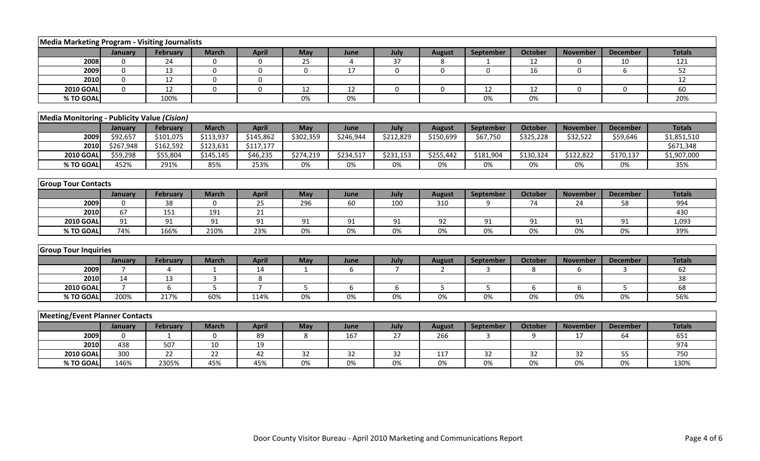| Media Marketing Program - Visiting Journalists |                |                       |                 |                  |             |                |                       |                |              |                 |                 |                 |               |
|------------------------------------------------|----------------|-----------------------|-----------------|------------------|-------------|----------------|-----------------------|----------------|--------------|-----------------|-----------------|-----------------|---------------|
|                                                | January        | <b>February</b>       | <b>March</b>    | <b>April</b>     | May         | June           | July                  | <b>August</b>  | September    | <b>October</b>  | <b>November</b> | <b>December</b> | <b>Totals</b> |
| 2008                                           | $\mathbf 0$    | 24                    | 0               | 0                | 25          | $\overline{4}$ | 37                    | 8              |              | 12              | 0               | 10              | 121           |
| 2009                                           | $\mathbf 0$    | 13                    | $\mathbf 0$     | $\mathbf 0$      | $\mathbf 0$ | 17             | $\mathbf 0$           | $\Omega$       | $\mathbf{0}$ | 16              | $\Omega$        | 6               | 52            |
| 2010                                           | $\mathbf 0$    | 12                    | $\mathbf 0$     | 0                |             |                |                       |                |              |                 |                 |                 | 12            |
| <b>2010 GOAL</b>                               | $\Omega$       | 12                    | $\mathbf 0$     | $\boldsymbol{0}$ | 12          | 12             | $\mathbf 0$           | $\mathbf 0$    | 12           | 12              | $\mathbf 0$     | $\mathbf 0$     | 60            |
| % TO GOAL                                      |                | 100%                  |                 |                  | 0%          | 0%             |                       |                | 0%           | $0\%$           |                 |                 | 20%           |
|                                                |                |                       |                 |                  |             |                |                       |                |              |                 |                 |                 |               |
| Media Monitoring - Publicity Value (Cision)    |                |                       |                 |                  |             |                |                       |                |              |                 |                 |                 |               |
|                                                | January        | February              | <b>March</b>    | <b>April</b>     | May         | June           | July                  | <b>August</b>  | September    | October         | <b>November</b> | <b>December</b> | <b>Totals</b> |
| 2009                                           | \$92,657       | \$101,075             | \$113,937       | \$145,862        | \$302,359   | \$246,944      | $\overline{$}212,829$ | \$150,699      | \$67,750     | \$325,228       | \$32,522        | \$59,646        | \$1,851,510   |
| 2010                                           | \$267,948      | \$162,592             | \$123,631       | \$117,177        |             |                |                       |                |              |                 |                 |                 | \$671,348     |
| <b>2010 GOAL</b>                               | \$59,298       | \$55,804              | \$145,145       | \$46,235         | \$274,219   | \$234,517      | \$231,153             | \$255,442      | \$181,904    | \$130,324       | \$122,822       | \$170,137       | \$1,907,000   |
| % TO GOAL                                      | 452%           | 291%                  | 85%             | 253%             | 0%          | 0%             | 0%                    | 0%             | 0%           | 0%              | 0%              | 0%              | 35%           |
|                                                |                |                       |                 |                  |             |                |                       |                |              |                 |                 |                 |               |
| <b>Group Tour Contacts</b>                     |                |                       |                 |                  |             |                |                       |                |              |                 |                 |                 |               |
|                                                | January        | <b>February</b>       | <b>March</b>    | <b>April</b>     | May         | June           | July                  | <b>August</b>  | September    | <b>October</b>  | <b>November</b> | <b>December</b> | <b>Totals</b> |
| 2009                                           | $\mathbf 0$    | 38                    | $\mathbf 0$     | 25               | 296         | 60             | 100                   | 310            | 9            | 74              | 24              | 58              | 994           |
| 2010                                           | 67             | 151                   | 191             | 21               |             |                |                       |                |              |                 |                 |                 | 430           |
| <b>2010 GOAL</b>                               | 91             | 91                    | 91              | 91               | 91          | 91             | 91                    | 92             | 91           | 91              | 91              | 91              | 1,093         |
| % TO GOAL                                      | 74%            | 166%                  | 210%            | 23%              | $0\%$       | 0%             | $0\%$                 | 0%             | $0\%$        | 0%              | $0\%$           | $0\%$           | 39%           |
|                                                |                |                       |                 |                  |             |                |                       |                |              |                 |                 |                 |               |
| <b>Group Tour Inquiries</b>                    |                |                       |                 |                  |             |                |                       |                |              |                 |                 |                 |               |
|                                                | January        | <b>February</b>       | <b>March</b>    | <b>April</b>     | May         | June           | July                  | <b>August</b>  | September    | <b>October</b>  | <b>November</b> | <b>December</b> | <b>Totals</b> |
| 2009                                           | $\overline{7}$ | $\boldsymbol{\Delta}$ | $\mathbf{1}$    | 14               | 1           | 6              | $\overline{7}$        | $\overline{2}$ | 3            | 8               | 6               | 3               | 62            |
| 2010                                           | 14             | 13                    | 3               | 8                |             |                |                       |                |              |                 |                 |                 | 38            |
| <b>2010 GOAL</b>                               | $\overline{7}$ | 6                     | 5               | $\overline{7}$   | 5           | 6              | 6                     | 5              | 5            | 6               | 6               | 5               | 68            |
| % TO GOAL                                      | 200%           | 217%                  | 60%             | 114%             | 0%          | 0%             | 0%                    | 0%             | 0%           | 0%              | 0%              | 0%              | 56%           |
|                                                |                |                       |                 |                  |             |                |                       |                |              |                 |                 |                 |               |
| <b>Meeting/Event Planner Contacts</b>          |                |                       |                 |                  |             |                |                       |                |              |                 |                 |                 |               |
|                                                | January        | <b>February</b>       | <b>March</b>    | <b>April</b>     | May         | June           | July                  | <b>August</b>  | September    | October         | <b>November</b> | <b>December</b> | <b>Totals</b> |
| 2009                                           | 0              |                       | 0               | 89               | 8           | 167            | 27                    | 266            | 3            | 9               | 17              | 64              | 651           |
| 2010                                           | 438            | 507                   | 10              | 19               |             |                |                       |                |              |                 |                 |                 | 974           |
| <b>2010 GOAL</b>                               | 300            | $\overline{22}$       | $\overline{22}$ | 42               | 32          | 32             | 32                    | 117            | 32           | $\overline{32}$ | 32              | 55              | 750           |
| % TO GOAL                                      | 146%           | 2305%                 | 45%             | 45%              | 0%          | 0%             | 0%                    | 0%             | 0%           | 0%              | 0%              | 0%              | 130%          |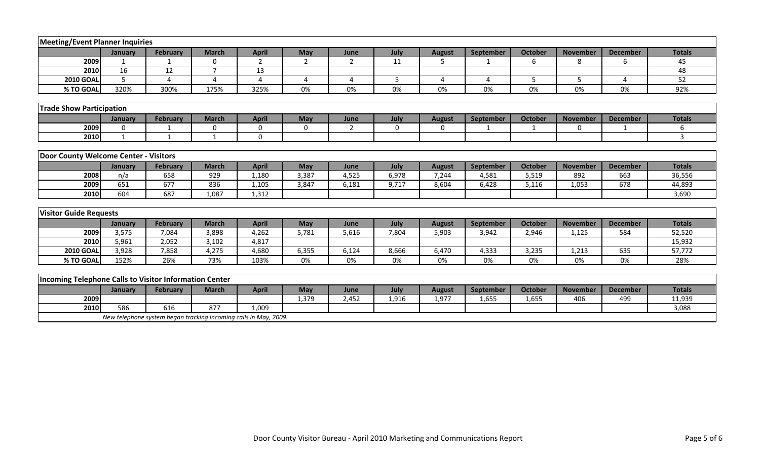| <b>Meeting/Event Planner Inquiries</b>                 |              |                                                                  |                |                |                |                |             |               |                  |                |                 |                       |               |
|--------------------------------------------------------|--------------|------------------------------------------------------------------|----------------|----------------|----------------|----------------|-------------|---------------|------------------|----------------|-----------------|-----------------------|---------------|
|                                                        | January      | <b>February</b>                                                  | <b>March</b>   | <b>April</b>   | May            | June           | July        | <b>August</b> | <b>September</b> | <b>October</b> | <b>November</b> | <b>December</b>       | <b>Totals</b> |
| 2009                                                   | $\mathbf{1}$ | $\mathbf{1}$                                                     | $\Omega$       | $\overline{2}$ | $\overline{2}$ | $\overline{2}$ | 11          | 5             | -1               | 6              | 8               | 6                     | 45            |
| 2010                                                   | 16           | 12                                                               | $\overline{7}$ | 13             |                |                |             |               |                  |                |                 |                       | 48            |
| <b>2010 GOAL</b>                                       | 5            | $\Delta$                                                         | $\overline{a}$ | $\overline{a}$ | 4              | $\overline{4}$ | 5           | 4             | 4                | 5              | 5               | $\boldsymbol{\Delta}$ | 52            |
| % TO GOAL                                              | 320%         | 300%                                                             | 175%           | 325%           | 0%             | 0%             | 0%          | 0%            | 0%               | 0%             | 0%              | 0%                    | 92%           |
|                                                        |              |                                                                  |                |                |                |                |             |               |                  |                |                 |                       |               |
| <b>Trade Show Participation</b>                        |              |                                                                  |                |                |                |                |             |               |                  |                |                 |                       |               |
|                                                        | January      | February                                                         | <b>March</b>   | <b>April</b>   | May            | June           | July        | <b>August</b> | September        | <b>October</b> | <b>November</b> | <b>December</b>       | <b>Totals</b> |
| 2009                                                   | $\mathbf 0$  |                                                                  | $\mathbf 0$    | $\mathbf 0$    | $\mathbf 0$    | $\overline{2}$ | $\mathbf 0$ | 0             |                  |                | $\mathbf{0}$    |                       | 6             |
| 2010                                                   | $\mathbf{1}$ | 1                                                                | $\mathbf{1}$   | $\mathbf 0$    |                |                |             |               |                  |                |                 |                       | 3             |
|                                                        |              |                                                                  |                |                |                |                |             |               |                  |                |                 |                       |               |
| Door County Welcome Center - Visitors                  |              |                                                                  |                |                |                |                |             |               |                  |                |                 |                       |               |
|                                                        | January      | February                                                         | <b>March</b>   | <b>April</b>   | May            | June           | July        | <b>August</b> | September        | <b>October</b> | <b>November</b> | <b>December</b>       | <b>Totals</b> |
| 2008                                                   | n/a          | 658                                                              | 929            | 1,180          | 3,387          | 4,525          | 6,978       | 7,244         | 4,581            | 5,519          | 892             | 663                   | 36,556        |
| 2009                                                   | 651          | 677                                                              | 836            | 1,105          | 3,847          | 6,181          | 9,717       | 8,604         | 6,428            | 5,116          | 1,053           | 678                   | 44,893        |
| 2010                                                   | 604          | 687                                                              | 1,087          | 1,312          |                |                |             |               |                  |                |                 |                       | 3,690         |
|                                                        |              |                                                                  |                |                |                |                |             |               |                  |                |                 |                       |               |
| <b>Visitor Guide Requests</b>                          |              |                                                                  |                |                |                |                |             |               |                  |                |                 |                       |               |
|                                                        | January      | February                                                         | <b>March</b>   | <b>April</b>   | May            | June           | July        | <b>August</b> | September        | <b>October</b> | <b>November</b> | <b>December</b>       | <b>Totals</b> |
| 2009                                                   | 3,575        | 7,084                                                            | 3,898          | 4,262          | 5,781          | 5,616          | 7,804       | 5,903         | 3,942            | 2,946          | 1,125           | 584                   | 52,520        |
| 2010                                                   | 5,961        | 2,052                                                            | 3,102          | 4,817          |                |                |             |               |                  |                |                 |                       | 15,932        |
| <b>2010 GOAL</b>                                       | 3,928        | 7,858                                                            | 4,275          | 4,680          | 6,355          | 6,124          | 8,666       | 6,470         | 4,333            | 3,235          | 1,213           | 635                   | 57,772        |
| % TO GOAL                                              | 152%         | 26%                                                              | 73%            | 103%           | 0%             | 0%             | 0%          | 0%            | 0%               | 0%             | 0%              | 0%                    | 28%           |
|                                                        |              |                                                                  |                |                |                |                |             |               |                  |                |                 |                       |               |
| Incoming Telephone Calls to Visitor Information Center |              |                                                                  |                |                |                |                |             |               |                  |                |                 |                       |               |
|                                                        | January      | <b>February</b>                                                  | <b>March</b>   | <b>April</b>   | May            | June           | July        | <b>August</b> | <b>September</b> | <b>October</b> | <b>November</b> | <b>December</b>       | <b>Totals</b> |
| 2009                                                   |              |                                                                  |                |                | 1,379          | 2,452          | 1,916       | 1,977         | 1,655            | 1,655          | 406             | 499                   | 11,939        |
| 2010                                                   | 586          | 616                                                              | 877            | 1,009          |                |                |             |               |                  |                |                 |                       | 3,088         |
|                                                        |              | New telephone system began tracking incoming calls in May, 2009. |                |                |                |                |             |               |                  |                |                 |                       |               |